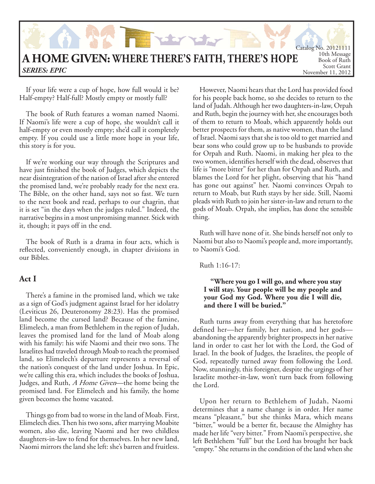

If your life were a cup of hope, how full would it be? Half-empty? Half-full? Mostly empty or mostly full?

The book of Ruth features a woman named Naomi. If Naomi's life were a cup of hope, she wouldn't call it half-empty or even mostly empty; she'd call it completely empty. If you could use a little more hope in your life, this story is for you.

If we're working our way through the Scriptures and have just finished the book of Judges, which depicts the near disintegration of the nation of Israel after she entered the promised land, we're probably ready for the next era. The Bible, on the other hand, says not so fast. We turn to the next book and read, perhaps to our chagrin, that it is set "in the days when the judges ruled." Indeed, the narrative begins in a most unpromising manner. Stick with it, though; it pays off in the end.

The book of Ruth is a drama in four acts, which is reflected, conveniently enough, in chapter divisions in our Bibles.

### **Act I**

There's a famine in the promised land, which we take as a sign of God's judgment against Israel for her idolatry (Leviticus 26, Deuteronomy 28:23). Has the promised land become the cursed land? Because of the famine, Elimelech, a man from Bethlehem in the region of Judah, leaves the promised land for the land of Moab along with his family: his wife Naomi and their two sons. The Israelites had traveled through Moab to reach the promised land, so Elimelech's departure represents a reversal of the nation's conquest of the land under Joshua. In Epic, we're calling this era, which includes the books of Joshua, Judges, and Ruth, A Home Given—the home being the promised land. For Elimelech and his family, the home given becomes the home vacated.

Things go from bad to worse in the land of Moab. First, Elimelech dies. Then his two sons, after marrying Moabite women, also die, leaving Naomi and her two childless daughters-in-law to fend for themselves. In her new land, Naomi mirrors the land she left: she's barren and fruitless.

However, Naomi hears that the Lord has provided food for his people back home, so she decides to return to the land of Judah. Although her two daughters-in-law, Orpah and Ruth, begin the journey with her, she encourages both of them to return to Moab, which apparently holds out better prospects for them, as native women, than the land of Israel. Naomi says that she is too old to get married and bear sons who could grow up to be husbands to provide for Orpah and Ruth. Naomi, in making her plea to the two women, identifies herself with the dead, observes that life is "more bitter" for her than for Orpah and Ruth, and blames the Lord for her plight, observing that his "hand has gone out against" her. Naomi convinces Orpah to return to Moab, but Ruth stays by her side. Still, Naomi pleads with Ruth to join her sister-in-law and return to the gods of Moab. Orpah, she implies, has done the sensible thing.

Ruth will have none of it. She binds herself not only to Naomi but also to Naomi's people and, more importantly, to Naomi's God.

Ruth 1:16-17:

### **"Where you go I will go, and where you stay I will stay. Your people will be my people and your God my God. Where you die I will die, and there I will be buried."**

Ruth turns away from everything that has heretofore defined her—her family, her nation, and her gods abandoning the apparently brighter prospects in her native land in order to cast her lot with the Lord, the God of Israel. In the book of Judges, the Israelites, the people of God, repeatedly turned away from following the Lord. Now, stunningly, this foreigner, despite the urgings of her Israelite mother-in-law, won't turn back from following the Lord.

Upon her return to Bethlehem of Judah, Naomi determines that a name change is in order. Her name means "pleasant," but she thinks Mara, which means "bitter," would be a better fit, because the Almighty has made her life "very bitter." From Naomi's perspective, she left Bethlehem "full" but the Lord has brought her back "empty." She returns in the condition of the land when she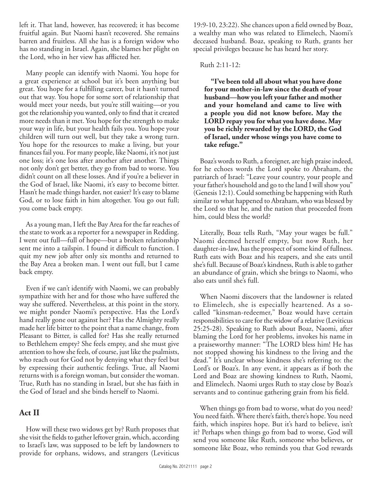left it. That land, however, has recovered; it has become fruitful again. But Naomi hasn't recovered. She remains barren and fruitless. All she has is a foreign widow who has no standing in Israel. Again, she blames her plight on the Lord, who in her view has afflicted her.

Many people can identify with Naomi. You hope for a great experience at school but it's been anything but great. You hope for a fulfilling career, but it hasn't turned out that way. You hope for some sort of relationship that would meet your needs, but you're still waiting—or you got the relationship you wanted, only to find that it created more needs than it met. You hope for the strength to make your way in life, but your health fails you. You hope your children will turn out well, but they take a wrong turn. You hope for the resources to make a living, but your finances fail you. For many people, like Naomi, it's not just one loss; it's one loss after another after another. Things not only don't get better, they go from bad to worse. You didn't count on all these losses. And if you're a believer in the God of Israel, like Naomi, it's easy to become bitter. Hasn't he made things harder, not easier? It's easy to blame God, or to lose faith in him altogether. You go out full; you come back empty.

As a young man, I left the Bay Area for the far reaches of the state to work as a reporter for a newspaper in Redding. I went out full—full of hope—but a broken relationship sent me into a tailspin. I found it difficult to function. I quit my new job after only six months and returned to the Bay Area a broken man. I went out full, but I came back empty.

Even if we can't identify with Naomi, we can probably sympathize with her and for those who have suffered the way she suffered. Nevertheless, at this point in the story, we might ponder Naomi's perspective. Has the Lord's hand really gone out against her? Has the Almighty really made her life bitter to the point that a name change, from Pleasant to Bitter, is called for? Has she really returned to Bethlehem empty? She feels empty, and she must give attention to how she feels, of course, just like the psalmists, who reach out for God not by denying what they feel but by expressing their authentic feelings. True, all Naomi returns with is a foreign woman, but consider the woman. True, Ruth has no standing in Israel, but she has faith in the God of Israel and she binds herself to Naomi.

# **Act II**

How will these two widows get by? Ruth proposes that she visit the fields to gather leftover grain, which, according to Israel's law, was supposed to be left by landowners to provide for orphans, widows, and strangers (Leviticus

 $19:9-10$ ,  $23:22$ ). She chances upon a field owned by Boaz, a wealthy man who was related to Elimelech, Naomi's deceased husband. Boaz, speaking to Ruth, grants her special privileges because he has heard her story.

### Ruth 2:11-12:

**"I've been told all about what you have done for your mother-in-law since the death of your husband—how you left your father and mother and your homeland and came to live with a people you did not know before. May the LORD repay you for what you have done. May you be richly rewarded by the LORD, the God of Israel, under whose wings you have come to take refuge."**

Boaz's words to Ruth, a foreigner, are high praise indeed, for he echoes words the Lord spoke to Abraham, the patriarch of Israel: "Leave your country, your people and your father's household and go to the land I will show you" (Genesis 12:1). Could something be happening with Ruth similar to what happened to Abraham, who was blessed by the Lord so that he, and the nation that proceeded from him, could bless the world?

Literally, Boaz tells Ruth, "May your wages be full." Naomi deemed herself empty, but now Ruth, her daughter-in-law, has the prospect of some kind of fullness. Ruth eats with Boaz and his reapers, and she eats until she's full. Because of Boaz's kindness, Ruth is able to gather an abundance of grain, which she brings to Naomi, who also eats until she's full.

When Naomi discovers that the landowner is related to Elimelech, she is especially heartened. As a socalled "kinsman-redeemer," Boaz would have certain responsibilities to care for the widow of a relative (Leviticus 25:25-28). Speaking to Ruth about Boaz, Naomi, after blaming the Lord for her problems, invokes his name in a praiseworthy manner: "The LORD bless him! He has not stopped showing his kindness to the living and the dead." It's unclear whose kindness she's referring to: the Lord's or Boaz's. In any event, it appears as if both the Lord and Boaz are showing kindness to Ruth, Naomi, and Elimelech. Naomi urges Ruth to stay close by Boaz's servants and to continue gathering grain from his field.

When things go from bad to worse, what do you need? You need faith. Where there's faith, there's hope. You need faith, which inspires hope. But it's hard to believe, isn't it? Perhaps when things go from bad to worse, God will send you someone like Ruth, someone who believes, or someone like Boaz, who reminds you that God rewards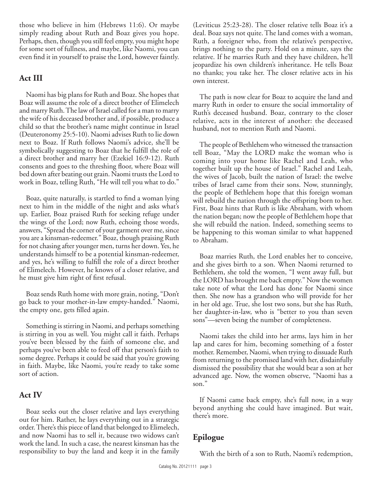those who believe in him (Hebrews 11:6). Or maybe simply reading about Ruth and Boaz gives you hope. Perhaps, then, though you still feel empty, you might hope for some sort of fullness, and maybe, like Naomi, you can even find it in yourself to praise the Lord, however faintly.

## **Act III**

Naomi has big plans for Ruth and Boaz. She hopes that Boaz will assume the role of a direct brother of Elimelech and marry Ruth. The law of Israel called for a man to marry the wife of his deceased brother and, if possible, produce a child so that the brother's name might continue in Israel (Deuteronomy 25:5-10). Naomi advises Ruth to lie down next to Boaz. If Ruth follows Naomi's advice, she'll be symbolically suggesting to Boaz that he fulfill the role of a direct brother and marry her (Ezekiel 16:9-12). Ruth consents and goes to the threshing floor, where Boaz will bed down after beating out grain. Naomi trusts the Lord to work in Boaz, telling Ruth, "He will tell you what to do."

Boaz, quite naturally, is startled to find a woman lying next to him in the middle of the night and asks what's up. Earlier, Boaz praised Ruth for seeking refuge under the wings of the Lord; now Ruth, echoing those words, answers, "Spread the corner of your garment over me, since you are a kinsman-redeemer." Boaz, though praising Ruth for not chasing after younger men, turns her down. Yes, he understands himself to be a potential kinsman-redeemer, and yes, he's willing to fulfill the role of a direct brother of Elimelech. However, he knows of a closer relative, and he must give him right of first refusal.

Boaz sends Ruth home with more grain, noting, "Don't go back to your mother-in-law empty-handed." Naomi, the empty one, gets filled again.

Something is stirring in Naomi, and perhaps something is stirring in you as well. You might call it faith. Perhaps you've been blessed by the faith of someone else, and perhaps you've been able to feed off that person's faith to some degree. Perhaps it could be said that you're growing in faith. Maybe, like Naomi, you're ready to take some sort of action.

### **Act IV**

Boaz seeks out the closer relative and lays everything out for him. Rather, he lays everything out in a strategic order. There's this piece of land that belonged to Elimelech, and now Naomi has to sell it, because two widows can't work the land. In such a case, the nearest kinsman has the responsibility to buy the land and keep it in the family

(Leviticus 25:23-28). The closer relative tells Boaz it's a deal. Boaz says not quite. The land comes with a woman, Ruth, a foreigner who, from the relative's perspective, brings nothing to the party. Hold on a minute, says the relative. If he marries Ruth and they have children, he'll jeopardize his own children's inheritance. He tells Boaz no thanks; you take her. The closer relative acts in his own interest.

The path is now clear for Boaz to acquire the land and marry Ruth in order to ensure the social immortality of Ruth's deceased husband. Boaz, contrary to the closer relative, acts in the interest of another: the deceased husband, not to mention Ruth and Naomi.

The people of Bethlehem who witnessed the transaction tell Boaz, "May the LORD make the woman who is coming into your home like Rachel and Leah, who together built up the house of Israel." Rachel and Leah, the wives of Jacob, built the nation of Israel: the twelve tribes of Israel came from their sons. Now, stunningly, the people of Bethlehem hope that this foreign woman will rebuild the nation through the offspring born to her. First, Boaz hints that Ruth is like Abraham, with whom the nation began; now the people of Bethlehem hope that she will rebuild the nation. Indeed, something seems to be happening to this woman similar to what happened to Abraham.

Boaz marries Ruth, the Lord enables her to conceive, and she gives birth to a son. When Naomi returned to Bethlehem, she told the women, "I went away full, but the LORD has brought me back empty." Now the women take note of what the Lord has done for Naomi since then. She now has a grandson who will provide for her in her old age. True, she lost two sons, but she has Ruth, her daughter-in-law, who is "better to you than seven sons"—seven being the number of completeness.

Naomi takes the child into her arms, lays him in her lap and cares for him, becoming something of a foster mother. Remember, Naomi, when trying to dissuade Ruth from returning to the promised land with her, disdainfully dismissed the possibility that she would bear a son at her advanced age. Now, the women observe, "Naomi has a son."

If Naomi came back empty, she's full now, in a way beyond anything she could have imagined. But wait, there's more.

## **Epilogue**

With the birth of a son to Ruth, Naomi's redemption,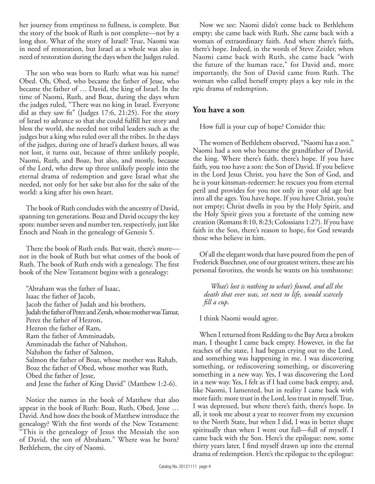her journey from emptiness to fullness, is complete. But the story of the book of Ruth is not complete—not by a long shot. What of the story of Israel? True, Naomi was in need of restoration, but Israel as a whole was also in need of restoration during the days when the Judges ruled.

The son who was born to Ruth: what was his name? Obed. Oh, Obed, who became the father of Jesse, who became the father of … David, the king of Israel. In the time of Naomi, Ruth, and Boaz, during the days when the judges ruled, "There was no king in Israel. Everyone did as they saw fit" (Judges  $17:6$ ,  $21:25$ ). For the story of Israel to advance so that she could fulfill her story and bless the world, she needed not tribal leaders such as the judges but a king who ruled over all the tribes. In the days of the judges, during one of Israel's darkest hours, all was not lost, it turns out, because of three unlikely people, Naomi, Ruth, and Boaz, but also, and mostly, because of the Lord, who drew up three unlikely people into the eternal drama of redemption and gave Israel what she needed, not only for her sake but also for the sake of the world: a king after his own heart.

The book of Ruth concludes with the ancestry of David, spanning ten generations. Boaz and David occupy the key spots: number seven and number ten, respectively, just like Enoch and Noah in the genealogy of Genesis 5.

There the book of Ruth ends. But wait, there's more not in the book of Ruth but what comes of the book of Ruth. The book of Ruth ends with a genealogy. The first book of the New Testament begins with a genealogy:

"Abraham was the father of Isaac, Isaac the father of Jacob, Jacob the father of Judah and his brothers, Judah the father of Perez and Zerah, whose mother was Tamar, Perez the father of Hezron, Hezron the father of Ram, Ram the father of Amminadab, Amminadab the father of Nahshon, Nahshon the father of Salmon, Salmon the father of Boaz, whose mother was Rahab, Boaz the father of Obed, whose mother was Ruth, Obed the father of Jesse, and Jesse the father of King David" (Matthew 1:2-6).

Notice the names in the book of Matthew that also appear in the book of Ruth: Boaz, Ruth, Obed, Jesse … David. And how does the book of Matthew introduce the genealogy? With the first words of the New Testament: "This is the genealogy of Jesus the Messiah the son of David, the son of Abraham." Where was he born? Bethlehem, the city of Naomi.

Now we see: Naomi didn't come back to Bethlehem empty; she came back with Ruth. She came back with a woman of extraordinary faith. And where there's faith, there's hope. Indeed, in the words of Steve Zeisler, when Naomi came back with Ruth, she came back "with the future of the human race," for David and, more importantly, the Son of David came from Ruth. The woman who called herself empty plays a key role in the epic drama of redemption.

## **You have a son**

How full is your cup of hope? Consider this:

The women of Bethlehem observed, "Naomi has a son." Naomi had a son who became the grandfather of David, the king. Where there's faith, there's hope. If you have faith, you too have a son: the Son of David. If you believe in the Lord Jesus Christ, you have the Son of God, and he is your kinsman-redeemer: he rescues you from eternal peril and provides for you not only in your old age but into all the ages. You have hope. If you have Christ, you're not empty; Christ dwells in you by the Holy Spirit, and the Holy Spirit gives you a foretaste of the coming new creation (Romans 8:10, 8:23; Colossians 1:27). If you have faith in the Son, there's reason to hope, for God rewards those who believe in him.

Of all the elegant words that have poured from the pen of Frederick Buechner, one of our greatest writers, these are his personal favorites, the words he wants on his tombstone:

*What's lost is nothing to what's found, and all the death that ever was, set next to life, would scarcely fill a cup.* 

I think Naomi would agree.

When I returned from Redding to the Bay Area a broken man, I thought I came back empty. However, in the far reaches of the state, I had begun crying out to the Lord, and something was happening in me. I was discovering something, or rediscovering something, or discovering something in a new way. Yes, I was discovering the Lord in a new way. Yes, I felt as if I had come back empty, and, like Naomi, I lamented, but in reality I came back with more faith: more trust in the Lord, less trust in myself. True, I was depressed, but where there's faith, there's hope. In all, it took me about a year to recover from my excursion to the North State, but when I did, I was in better shape spiritually than when I went out full—full of myself. I came back with the Son. Here's the epilogue: now, some thirty years later, I find myself drawn up into the eternal drama of redemption. Here's the epilogue to the epilogue: